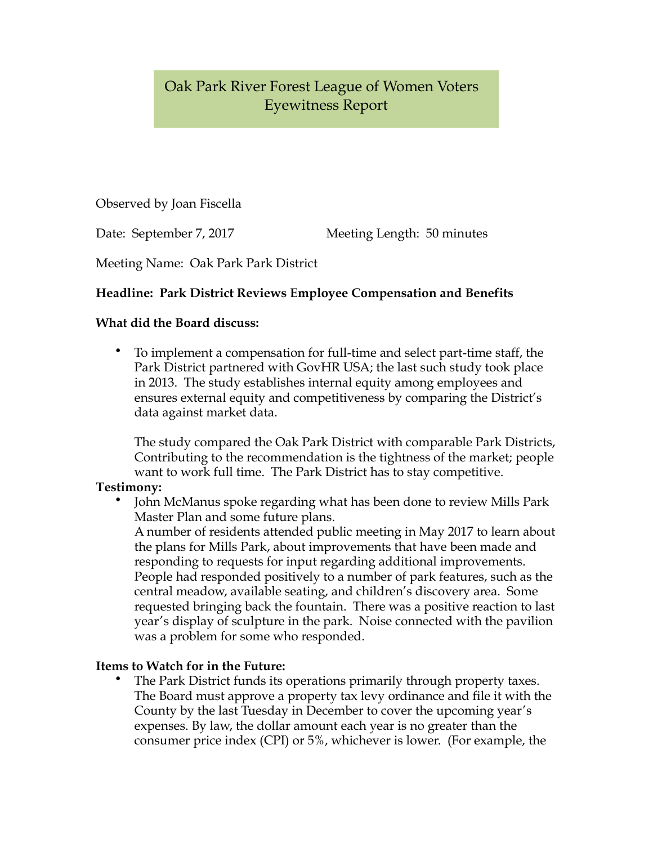# Oak Park River Forest League of Women Voters Eyewitness Report

Observed by Joan Fiscella

Date: September 7, 2017 Meeting Length: 50 minutes

Meeting Name: Oak Park Park District

## **Headline: Park District Reviews Employee Compensation and Benefits**

## **What did the Board discuss:**

• To implement a compensation for full-time and select part-time staff, the Park District partnered with GovHR USA; the last such study took place in 2013. The study establishes internal equity among employees and ensures external equity and competitiveness by comparing the District's data against market data.

 The study compared the Oak Park District with comparable Park Districts, Contributing to the recommendation is the tightness of the market; people want to work full time. The Park District has to stay competitive.

### **Testimony:**

• John McManus spoke regarding what has been done to review Mills Park Master Plan and some future plans.

 A number of residents attended public meeting in May 2017 to learn about the plans for Mills Park, about improvements that have been made and responding to requests for input regarding additional improvements. People had responded positively to a number of park features, such as the central meadow, available seating, and children's discovery area. Some requested bringing back the fountain. There was a positive reaction to last year's display of sculpture in the park. Noise connected with the pavilion was a problem for some who responded.

### **Items to Watch for in the Future:**

The Park District funds its operations primarily through property taxes. The Board must approve a property tax levy ordinance and file it with the County by the last Tuesday in December to cover the upcoming year's expenses. By law, the dollar amount each year is no greater than the consumer price index (CPI) or 5%, whichever is lower. (For example, the